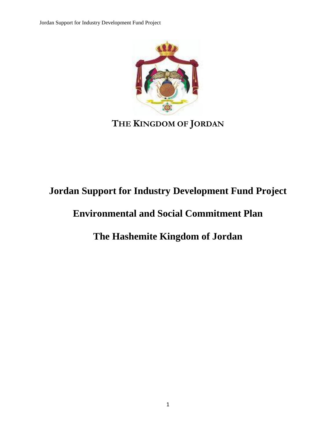Jordan Support for Industry Development Fund Project



## **THE KINGDOM OF JORDAN**

# **Jordan Support for Industry Development Fund Project**

### **Environmental and Social Commitment Plan**

## **The Hashemite Kingdom of Jordan**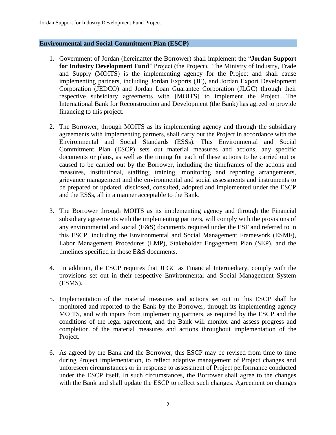#### **Environmental and Social Commitment Plan (ESCP)**

- 1. Government of Jordan (hereinafter the Borrower) shall implement the "**Jordan Support for Industry Development Fund**" Project (the Project). The Ministry of Industry, Trade and Supply (MOITS) is the implementing agency for the Project and shall cause implementing partners, including Jordan Exports (JE), and Jordan Export Development Corporation (JEDCO) and Jordan Loan Guarantee Corporation (JLGC) through their respective subsidiary agreements with [MOITS] to implement the Project. The International Bank for Reconstruction and Development (the Bank) has agreed to provide financing to this project.
- 2. The Borrower, through MOITS as its implementing agency and through the subsidiary agreements with implementing partners, shall carry out the Project in accordance with the Environmental and Social Standards (ESSs). This Environmental and Social Commitment Plan (ESCP) sets out material measures and actions, any specific documents or plans, as well as the timing for each of these actions to be carried out or caused to be carried out by the Borrower, including the timeframes of the actions and measures, institutional, staffing, training, monitoring and reporting arrangements, grievance management and the environmental and social assessments and instruments to be prepared or updated, disclosed, consulted, adopted and implemented under the ESCP and the ESSs, all in a manner acceptable to the Bank.
- 3. The Borrower through MOITS as its implementing agency and through the Financial subsidiary agreements with the implementing partners, will comply with the provisions of any environmental and social (E&S) documents required under the ESF and referred to in this ESCP, including the Environmental and Social Management Framework (ESMF), Labor Management Procedures (LMP), Stakeholder Engagement Plan (SEP), and the timelines specified in those E&S documents.
- 4. In addition, the ESCP requires that JLGC as Financial Intermediary, comply with the provisions set out in their respective Environmental and Social Management System (ESMS).
- 5. Implementation of the material measures and actions set out in this ESCP shall be monitored and reported to the Bank by the Borrower, through its implementing agency MOITS, and with inputs from implementing partners, as required by the ESCP and the conditions of the legal agreement, and the Bank will monitor and assess progress and completion of the material measures and actions throughout implementation of the Project.
- 6. As agreed by the Bank and the Borrower, this ESCP may be revised from time to time during Project implementation, to reflect adaptive management of Project changes and unforeseen circumstances or in response to assessment of Project performance conducted under the ESCP itself. In such circumstances, the Borrower shall agree to the changes with the Bank and shall update the ESCP to reflect such changes. Agreement on changes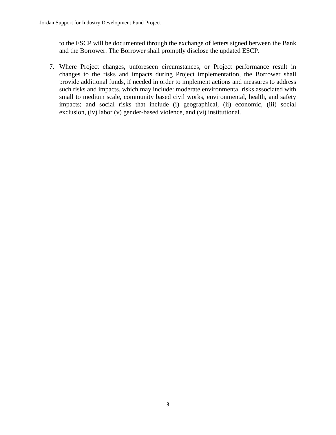to the ESCP will be documented through the exchange of letters signed between the Bank and the Borrower. The Borrower shall promptly disclose the updated ESCP.

7. Where Project changes, unforeseen circumstances, or Project performance result in changes to the risks and impacts during Project implementation, the Borrower shall provide additional funds, if needed in order to implement actions and measures to address such risks and impacts, which may include: moderate environmental risks associated with small to medium scale, community based civil works, environmental, health, and safety impacts; and social risks that include (i) geographical, (ii) economic, (iii) social exclusion, (iv) labor (v) gender-based violence, and (vi) institutional.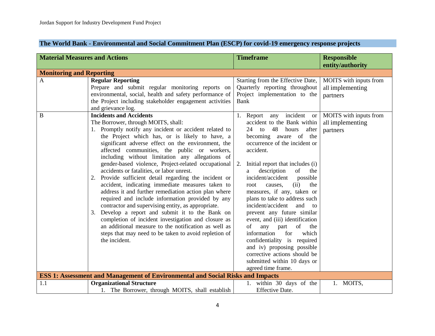#### **The World Bank - Environmental and Social Commitment Plan (ESCP) for covid-19 emergency response projects**

| <b>Material Measures and Actions</b> |                                                                                                                                                                                                                                                                                                                                                                                                                                                                                                                                                                                                                                                                                                                                                                                                                                                                                                                                           | <b>Timeframe</b>                                                                                                                                                                                                                                                                                                                                                                                                                                                                                                                                                                                                                                                                     | <b>Responsible</b><br>entity/authority                                           |
|--------------------------------------|-------------------------------------------------------------------------------------------------------------------------------------------------------------------------------------------------------------------------------------------------------------------------------------------------------------------------------------------------------------------------------------------------------------------------------------------------------------------------------------------------------------------------------------------------------------------------------------------------------------------------------------------------------------------------------------------------------------------------------------------------------------------------------------------------------------------------------------------------------------------------------------------------------------------------------------------|--------------------------------------------------------------------------------------------------------------------------------------------------------------------------------------------------------------------------------------------------------------------------------------------------------------------------------------------------------------------------------------------------------------------------------------------------------------------------------------------------------------------------------------------------------------------------------------------------------------------------------------------------------------------------------------|----------------------------------------------------------------------------------|
| <b>Monitoring and Reporting</b>      |                                                                                                                                                                                                                                                                                                                                                                                                                                                                                                                                                                                                                                                                                                                                                                                                                                                                                                                                           |                                                                                                                                                                                                                                                                                                                                                                                                                                                                                                                                                                                                                                                                                      |                                                                                  |
| $\mathbf{A}$<br>$\mathbf{B}$         | <b>Regular Reporting</b><br>Prepare and submit regular monitoring reports on<br>environmental, social, health and safety performance of<br>the Project including stakeholder engagement activities<br>and grievance log.<br><b>Incidents and Accidents</b>                                                                                                                                                                                                                                                                                                                                                                                                                                                                                                                                                                                                                                                                                | Starting from the Effective Date,<br>Quarterly reporting throughout<br>Project implementation to the<br>Bank<br>1. Report any incident<br><sub>or</sub>                                                                                                                                                                                                                                                                                                                                                                                                                                                                                                                              | MOITS with inputs from<br>all implementing<br>partners<br>MOITS with inputs from |
|                                      | The Borrower, through MOITS, shall:<br>1. Promptly notify any incident or accident related to<br>the Project which has, or is likely to have, a<br>significant adverse effect on the environment, the<br>affected communities, the public or workers,<br>including without limitation any allegations of<br>gender-based violence, Project-related occupational<br>accidents or fatalities, or labor unrest.<br>2. Provide sufficient detail regarding the incident or<br>accident, indicating immediate measures taken to<br>address it and further remediation action plan where<br>required and include information provided by any<br>contractor and supervising entity, as appropriate.<br>3. Develop a report and submit it to the Bank on<br>completion of incident investigation and closure as<br>an additional measure to the notification as well as<br>steps that may need to be taken to avoid repletion of<br>the incident. | accident to the Bank within<br>48<br>$24$ to<br>hours<br>after<br>becoming aware of the<br>occurrence of the incident or<br>accident.<br>2.<br>Initial report that includes (i)<br>description<br>of<br>the<br>a<br>incident/accident<br>possible<br>(ii)<br>the<br>root<br>causes,<br>measures, if any, taken or<br>plans to take to address such<br>incident/accident<br>and<br>$\overline{t}$<br>prevent any future similar<br>event, and (iii) identification<br>any<br>οf<br>part<br>of<br>the<br>information<br>for<br>which<br>confidentiality is required<br>and iv) proposing possible<br>corrective actions should be<br>submitted within 10 days or<br>agreed time frame. | all implementing<br>partners                                                     |
|                                      | <b>ESS 1: Assessment and Management of Environmental and Social Risks and Impacts</b>                                                                                                                                                                                                                                                                                                                                                                                                                                                                                                                                                                                                                                                                                                                                                                                                                                                     |                                                                                                                                                                                                                                                                                                                                                                                                                                                                                                                                                                                                                                                                                      |                                                                                  |
| 1.1                                  | <b>Organizational Structure</b><br>1. The Borrower, through MOITS, shall establish                                                                                                                                                                                                                                                                                                                                                                                                                                                                                                                                                                                                                                                                                                                                                                                                                                                        | 1. within 30 days of the<br><b>Effective Date.</b>                                                                                                                                                                                                                                                                                                                                                                                                                                                                                                                                                                                                                                   | 1. MOITS,                                                                        |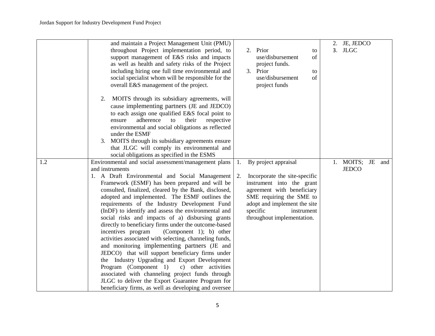|     | and maintain a Project Management Unit (PMU)            |                                     | 2. JE, JEDCO     |
|-----|---------------------------------------------------------|-------------------------------------|------------------|
|     | throughout Project implementation period, to            | 2. Prior<br>to                      | 3. JLGC          |
|     | support management of E&S risks and impacts             | use/disbursement<br>of              |                  |
|     | as well as health and safety risks of the Project       | project funds.                      |                  |
|     | including hiring one full time environmental and        | 3. Prior<br>to                      |                  |
|     | social specialist whom will be responsible for the      | use/disbursement<br>of              |                  |
|     | overall E&S management of the project.                  | project funds                       |                  |
|     | MOITS through its subsidiary agreements, will<br>2.     |                                     |                  |
|     | cause implementing partners (JE and JEDCO)              |                                     |                  |
|     | to each assign one qualified E&S focal point to         |                                     |                  |
|     | adherence<br>their<br>respective<br>ensure<br>to        |                                     |                  |
|     | environmental and social obligations as reflected       |                                     |                  |
|     | under the ESMF                                          |                                     |                  |
|     | 3. MOITS through its subsidiary agreements ensure       |                                     |                  |
|     | that JLGC will comply its environmental and             |                                     |                  |
|     | social obligations as specified in the ESMS             |                                     |                  |
| 1.2 | Environmental and social assessment/management plans    | By project appraisal<br>1.          | 1. MOITS; JE and |
|     | and instruments                                         |                                     | <b>JEDCO</b>     |
|     | 1. A Draft Environmental and Social Management          | 2.<br>Incorporate the site-specific |                  |
|     | Framework (ESMF) has been prepared and will be          | instrument into the grant           |                  |
|     | consulted, finalized, cleared by the Bank, disclosed,   | agreement with beneficiary          |                  |
|     | adopted and implemented. The ESMF outlines the          | SME requiring the SME to            |                  |
|     | requirements of the Industry Development Fund           | adopt and implement the site        |                  |
|     | (InDF) to identify and assess the environmental and     | specific<br>instrument              |                  |
|     | social risks and impacts of a) disbursing grants        | throughout implementation.          |                  |
|     | directly to beneficiary firms under the outcome-based   |                                     |                  |
|     | incentives program<br>(Component 1); b) other           |                                     |                  |
|     | activities associated with selecting, channeling funds, |                                     |                  |
|     | and monitoring implementing partners (JE and            |                                     |                  |
|     | JEDCO) that will support beneficiary firms under        |                                     |                  |
|     | the Industry Upgrading and Export Development           |                                     |                  |
|     | Program (Component 1)<br>c) other activities            |                                     |                  |
|     | associated with channeling project funds through        |                                     |                  |
|     | JLGC to deliver the Export Guarantee Program for        |                                     |                  |
|     | beneficiary firms, as well as developing and oversee    |                                     |                  |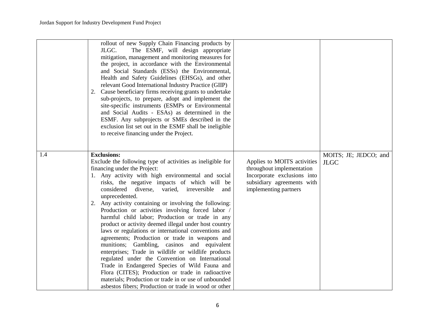|     | rollout of new Supply Chain Financing products by<br>The ESMF, will design appropriate<br>JLGC.<br>mitigation, management and monitoring measures for<br>the project, in accordance with the Environmental<br>and Social Standards (ESSs) the Environmental,<br>Health and Safety Guidelines (EHSGs), and other<br>relevant Good International Industry Practice (GIIP)<br>2. Cause beneficiary firms receiving grants to undertake<br>sub-projects, to prepare, adopt and implement the<br>site-specific instruments (ESMPs or Environmental<br>and Social Audits - ESAs) as determined in the<br>ESMF. Any subprojects or SMEs described in the<br>exclusion list set out in the ESMF shall be ineligible<br>to receive financing under the Project.                                                                                                                                                                                                                                                               |                                                                                                                                                |                                      |
|-----|----------------------------------------------------------------------------------------------------------------------------------------------------------------------------------------------------------------------------------------------------------------------------------------------------------------------------------------------------------------------------------------------------------------------------------------------------------------------------------------------------------------------------------------------------------------------------------------------------------------------------------------------------------------------------------------------------------------------------------------------------------------------------------------------------------------------------------------------------------------------------------------------------------------------------------------------------------------------------------------------------------------------|------------------------------------------------------------------------------------------------------------------------------------------------|--------------------------------------|
| 1.4 | <b>Exclusions:</b><br>Exclude the following type of activities as ineligible for<br>financing under the Project:<br>1. Any activity with high environmental and social<br>risks, the negative impacts of which will be<br>considered diverse,<br>varied, irreversible<br>and<br>unprecedented.<br>2. Any activity containing or involving the following:<br>Production or activities involving forced labor /<br>harmful child labor; Production or trade in any<br>product or activity deemed illegal under host country<br>laws or regulations or international conventions and<br>agreements; Production or trade in weapons and<br>munitions; Gambling, casinos and equivalent<br>enterprises; Trade in wildlife or wildlife products<br>regulated under the Convention on International<br>Trade in Endangered Species of Wild Fauna and<br>Flora (CITES); Production or trade in radioactive<br>materials; Production or trade in or use of unbounded<br>asbestos fibers; Production or trade in wood or other | Applies to MOITS activities<br>throughout implementation<br>Incorporate exclusions into<br>subsidiary agreements with<br>implementing partners | MOITS; JE; JEDCO; and<br><b>JLGC</b> |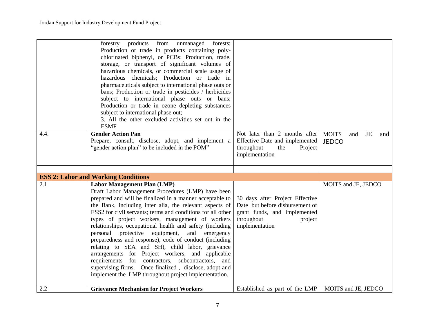|      | forestry products<br>from<br>unmanaged<br>forests;<br>Production or trade in products containing poly-<br>chlorinated biphenyl, or PCBs; Production, trade,<br>storage, or transport of significant volumes of<br>hazardous chemicals, or commercial scale usage of<br>hazardous chemicals; Production or trade in<br>pharmaceuticals subject to international phase outs or<br>bans; Production or trade in pesticides / herbicides<br>subject to international phase outs or bans;<br>Production or trade in ozone depleting substances<br>subject to international phase out;<br>3. All the other excluded activities set out in the<br><b>ESMF</b>                                                                                                                                        |                                                                                                                                               |                                                         |
|------|-----------------------------------------------------------------------------------------------------------------------------------------------------------------------------------------------------------------------------------------------------------------------------------------------------------------------------------------------------------------------------------------------------------------------------------------------------------------------------------------------------------------------------------------------------------------------------------------------------------------------------------------------------------------------------------------------------------------------------------------------------------------------------------------------|-----------------------------------------------------------------------------------------------------------------------------------------------|---------------------------------------------------------|
| 4.4. | <b>Gender Action Pan</b><br>Prepare, consult, disclose, adopt, and implement a<br>"gender action plan" to be included in the POM"                                                                                                                                                                                                                                                                                                                                                                                                                                                                                                                                                                                                                                                             | Not later than 2 months after<br>Effective Date and implemented<br>throughout<br>the<br>Project<br>implementation                             | <b>MOITS</b><br><b>JE</b><br>and<br>and<br><b>JEDCO</b> |
|      |                                                                                                                                                                                                                                                                                                                                                                                                                                                                                                                                                                                                                                                                                                                                                                                               |                                                                                                                                               |                                                         |
|      | <b>ESS 2: Labor and Working Conditions</b>                                                                                                                                                                                                                                                                                                                                                                                                                                                                                                                                                                                                                                                                                                                                                    |                                                                                                                                               |                                                         |
| 2.1  | <b>Labor Management Plan (LMP)</b><br>Draft Labor Management Procedures (LMP) have been<br>prepared and will be finalized in a manner acceptable to<br>the Bank, including inter alia, the relevant aspects of<br>ESS2 for civil servants; terms and conditions for all other<br>types of project workers, management of workers<br>relationships, occupational health and safety (including<br>personal protective<br>equipment,<br>and<br>emergency<br>preparedness and response), code of conduct (including<br>relating to SEA and SH), child labor, grievance<br>arrangements for Project workers, and applicable<br>requirements for contractors, subcontractors, and<br>supervising firms. Once finalized, disclose, adopt and<br>implement the LMP throughout project implementation. | 30 days after Project Effective<br>Date but before disbursement of<br>grant funds, and implemented<br>throughout<br>project<br>implementation | MOITS and JE, JEDCO                                     |
| 2.2  | <b>Grievance Mechanism for Project Workers</b>                                                                                                                                                                                                                                                                                                                                                                                                                                                                                                                                                                                                                                                                                                                                                | Established as part of the LMP                                                                                                                | MOITS and JE, JEDCO                                     |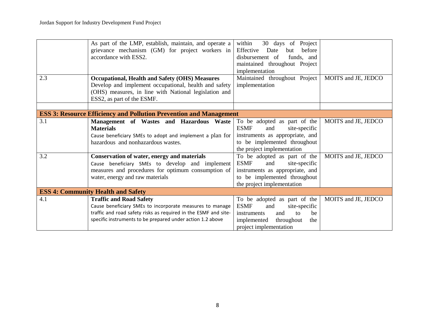|     | As part of the LMP, establish, maintain, and operate a<br>grievance mechanism (GM) for project workers in<br>accordance with ESS2.                                                                                          | within<br>30 days of Project<br>Effective<br>Date<br>before<br>but<br>disbursement of<br>funds, and<br>maintained throughout Project                                 |                     |
|-----|-----------------------------------------------------------------------------------------------------------------------------------------------------------------------------------------------------------------------------|----------------------------------------------------------------------------------------------------------------------------------------------------------------------|---------------------|
| 2.3 | <b>Occupational, Health and Safety (OHS) Measures</b>                                                                                                                                                                       | implementation<br>Maintained throughout Project                                                                                                                      | MOITS and JE, JEDCO |
|     | Develop and implement occupational, health and safety<br>(OHS) measures, in line with National legislation and<br>ESS2, as part of the ESMF.                                                                                | implementation                                                                                                                                                       |                     |
|     |                                                                                                                                                                                                                             |                                                                                                                                                                      |                     |
|     | <b>ESS 3: Resource Efficiency and Pollution Prevention and Management</b>                                                                                                                                                   |                                                                                                                                                                      |                     |
| 3.1 | Management of Wastes and Hazardous Waste<br><b>Materials</b><br>Cause beneficiary SMEs to adopt and implement a plan for<br>hazardous and nonhazardous wastes.                                                              | To be adopted as part of the<br><b>ESMF</b><br>and<br>site-specific<br>instruments as appropriate, and<br>to be implemented throughout<br>the project implementation | MOITS and JE, JEDCO |
| 3.2 | Conservation of water, energy and materials<br>Cause beneficiary SMEs to develop and implement<br>measures and procedures for optimum consumption of<br>water, energy and raw materials                                     | To be adopted as part of the<br><b>ESMF</b><br>site-specific<br>and<br>instruments as appropriate, and<br>to be implemented throughout<br>the project implementation | MOITS and JE, JEDCO |
|     | <b>ESS 4: Community Health and Safety</b>                                                                                                                                                                                   |                                                                                                                                                                      |                     |
| 4.1 | <b>Traffic and Road Safety</b><br>Cause beneficiary SMEs to incorporate measures to manage<br>traffic and road safety risks as required in the ESMF and site-<br>specific instruments to be prepared under action 1.2 above | To be adopted as part of the<br><b>ESMF</b><br>and<br>site-specific<br>instruments<br>and<br>to<br>be<br>implemented<br>throughout<br>the<br>project implementation  | MOITS and JE, JEDCO |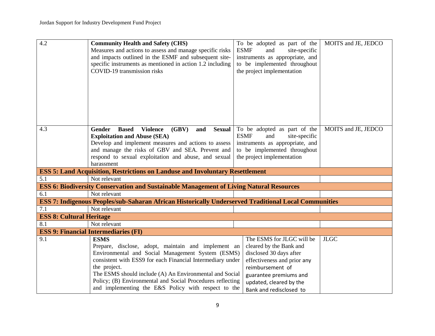| 4.2                             | <b>Community Health and Safety (CHS)</b>                                                                          | To be adopted as part of the        | MOITS and JE, JEDCO |
|---------------------------------|-------------------------------------------------------------------------------------------------------------------|-------------------------------------|---------------------|
|                                 | Measures and actions to assess and manage specific risks                                                          | <b>ESMF</b><br>and<br>site-specific |                     |
|                                 | and impacts outlined in the ESMF and subsequent site-                                                             | instruments as appropriate, and     |                     |
|                                 | specific instruments as mentioned in action 1.2 including                                                         | to be implemented throughout        |                     |
|                                 | COVID-19 transmission risks                                                                                       | the project implementation          |                     |
|                                 |                                                                                                                   |                                     |                     |
|                                 |                                                                                                                   |                                     |                     |
|                                 |                                                                                                                   |                                     |                     |
|                                 |                                                                                                                   |                                     |                     |
|                                 |                                                                                                                   |                                     |                     |
|                                 |                                                                                                                   |                                     |                     |
|                                 |                                                                                                                   |                                     |                     |
| 4.3                             | <b>Gender</b><br><b>Based</b><br><b>Violence</b><br>(GBV)<br>and<br><b>Sexual</b>                                 | To be adopted as part of the        | MOITS and JE, JEDCO |
|                                 | <b>Exploitation and Abuse (SEA)</b>                                                                               | <b>ESMF</b><br>and<br>site-specific |                     |
|                                 | Develop and implement measures and actions to assess                                                              | instruments as appropriate, and     |                     |
|                                 | and manage the risks of GBV and SEA. Prevent and                                                                  | to be implemented throughout        |                     |
|                                 | respond to sexual exploitation and abuse, and sexual                                                              | the project implementation          |                     |
|                                 | harassment                                                                                                        |                                     |                     |
|                                 | <b>ESS 5: Land Acquisition, Restrictions on Landuse and Involuntary Resettlement</b>                              |                                     |                     |
| 5.1                             | Not relevant                                                                                                      |                                     |                     |
|                                 | <b>ESS 6: Biodiversity Conservation and Sustainable Management of Living Natural Resources</b>                    |                                     |                     |
| 6.1                             | Not relevant                                                                                                      |                                     |                     |
|                                 | ESS 7: Indigenous Peoples/sub-Saharan African Historically Underserved Traditional Local Communities              |                                     |                     |
|                                 |                                                                                                                   |                                     |                     |
| 7.1                             | Not relevant                                                                                                      |                                     |                     |
| <b>ESS 8: Cultural Heritage</b> |                                                                                                                   |                                     |                     |
| 8.1                             | Not relevant                                                                                                      |                                     |                     |
|                                 | <b>ESS 9: Financial Intermediaries (FI)</b>                                                                       |                                     |                     |
| 9.1                             | <b>ESMS</b>                                                                                                       | The ESMS for JLGC will be           | <b>JLGC</b>         |
|                                 | Prepare, disclose, adopt, maintain and implement an                                                               | cleared by the Bank and             |                     |
|                                 | Environmental and Social Management System (ESMS)                                                                 | disclosed 30 days after             |                     |
|                                 | consistent with ESS9 for each Financial Intermediary under                                                        | effectiveness and prior any         |                     |
|                                 | the project.                                                                                                      | reimbursement of                    |                     |
|                                 | The ESMS should include (A) An Environmental and Social                                                           | guarantee premiums and              |                     |
|                                 | Policy; (B) Environmental and Social Procedures reflecting<br>and implementing the E&S Policy with respect to the | updated, cleared by the             |                     |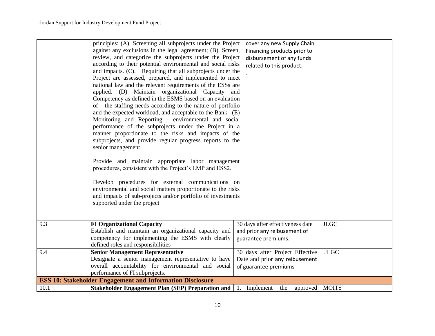|      | principles: (A). Screening all subprojects under the Project<br>against any exclusions in the legal agreement; (B). Screen,<br>review, and categorize the subprojects under the Project<br>according to their potential environmental and social risks<br>and impacts. (C). Requiring that all subprojects under the<br>Project are assessed, prepared, and implemented to meet<br>national law and the relevant requirements of the ESSs are<br>applied. (D) Maintain organizational Capacity and<br>Competency as defined in the ESMS based on an evaluation<br>of the staffing needs according to the nature of portfolio<br>and the expected workload, and acceptable to the Bank. (E)<br>Monitoring and Reporting - environmental and social<br>performance of the subprojects under the Project in a<br>manner proportionate to the risks and impacts of the<br>subprojects, and provide regular progress reports to the<br>senior management.<br>Provide and maintain appropriate labor management<br>procedures, consistent with the Project's LMP and ESS2.<br>Develop procedures for external communications on<br>environmental and social matters proportionate to the risks<br>and impacts of sub-projects and/or portfolio of investments<br>supported under the project | cover any new Supply Chain<br>Financing products prior to<br>disbursement of any funds<br>related to this product. |              |
|------|----------------------------------------------------------------------------------------------------------------------------------------------------------------------------------------------------------------------------------------------------------------------------------------------------------------------------------------------------------------------------------------------------------------------------------------------------------------------------------------------------------------------------------------------------------------------------------------------------------------------------------------------------------------------------------------------------------------------------------------------------------------------------------------------------------------------------------------------------------------------------------------------------------------------------------------------------------------------------------------------------------------------------------------------------------------------------------------------------------------------------------------------------------------------------------------------------------------------------------------------------------------------------------------|--------------------------------------------------------------------------------------------------------------------|--------------|
| 9.3  | <b>FI Organizational Capacity</b><br>Establish and maintain an organizational capacity and                                                                                                                                                                                                                                                                                                                                                                                                                                                                                                                                                                                                                                                                                                                                                                                                                                                                                                                                                                                                                                                                                                                                                                                             | 30 days after effectiveness date<br>and prior any reibusement of                                                   | <b>JLGC</b>  |
|      | competency for implementing the ESMS with clearly                                                                                                                                                                                                                                                                                                                                                                                                                                                                                                                                                                                                                                                                                                                                                                                                                                                                                                                                                                                                                                                                                                                                                                                                                                      | guarantee premiums.                                                                                                |              |
| 9.4  | defined roles and responsibilities<br><b>Senior Management Representative</b>                                                                                                                                                                                                                                                                                                                                                                                                                                                                                                                                                                                                                                                                                                                                                                                                                                                                                                                                                                                                                                                                                                                                                                                                          | 30 days after Project Effective                                                                                    | <b>JLGC</b>  |
|      | Designate a senior management representative to have                                                                                                                                                                                                                                                                                                                                                                                                                                                                                                                                                                                                                                                                                                                                                                                                                                                                                                                                                                                                                                                                                                                                                                                                                                   | Date and prior any reibusement                                                                                     |              |
|      | overall accountability for environmental and social                                                                                                                                                                                                                                                                                                                                                                                                                                                                                                                                                                                                                                                                                                                                                                                                                                                                                                                                                                                                                                                                                                                                                                                                                                    | of guarantee premiums                                                                                              |              |
|      | performance of FI subprojects.                                                                                                                                                                                                                                                                                                                                                                                                                                                                                                                                                                                                                                                                                                                                                                                                                                                                                                                                                                                                                                                                                                                                                                                                                                                         |                                                                                                                    |              |
|      | <b>ESS 10: Stakeholder Engagement and Information Disclosure</b>                                                                                                                                                                                                                                                                                                                                                                                                                                                                                                                                                                                                                                                                                                                                                                                                                                                                                                                                                                                                                                                                                                                                                                                                                       |                                                                                                                    |              |
| 10.1 | <b>Stakeholder Engagement Plan (SEP) Preparation and</b>                                                                                                                                                                                                                                                                                                                                                                                                                                                                                                                                                                                                                                                                                                                                                                                                                                                                                                                                                                                                                                                                                                                                                                                                                               | Implement<br>the<br>approved<br>1.                                                                                 | <b>MOITS</b> |